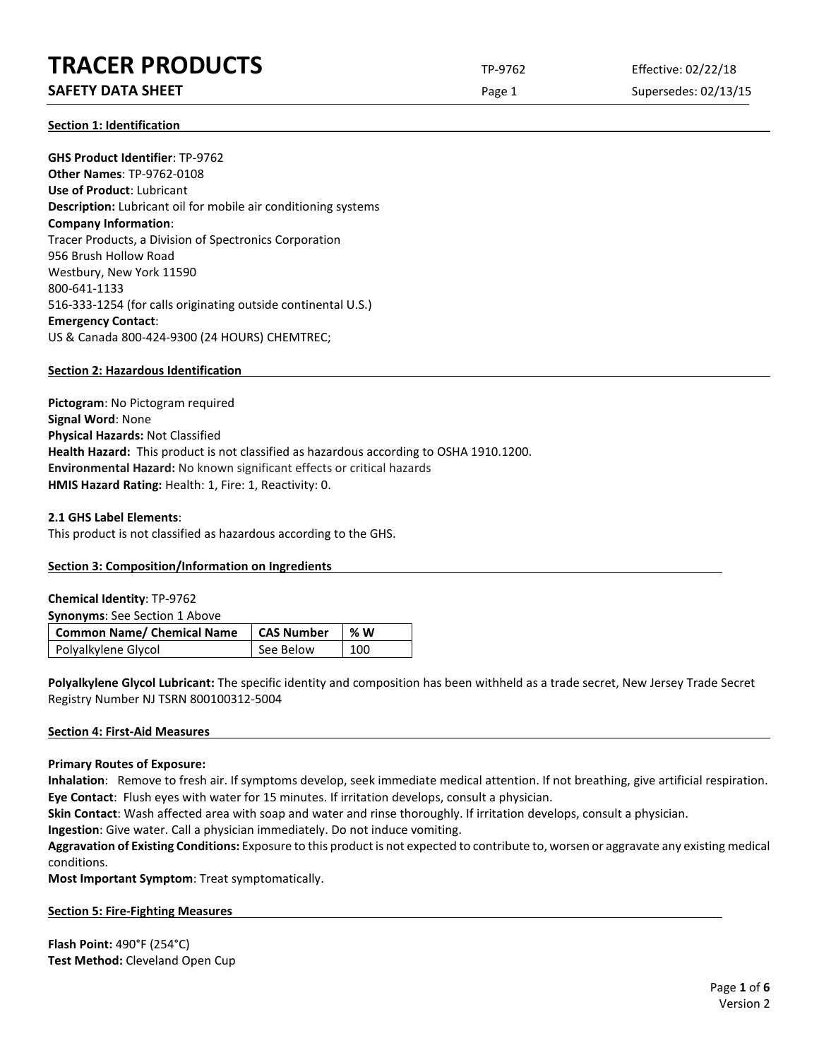# **TRACER PRODUCTS** TP-9762 Effective: 02/22/18

# **SAFETY DATA SHEET** SUPERFOUR CONSIDERING Page 1 Supersedes: 02/13/15

**Section 1: Identification**

**GHS Product Identifier**: TP-9762 **Other Names**: TP-9762-0108 **Use of Product**: Lubricant **Description:** Lubricant oil for mobile air conditioning systems **Company Information**: Tracer Products, a Division of Spectronics Corporation 956 Brush Hollow Road Westbury, New York 11590 800-641-1133 516-333-1254 (for calls originating outside continental U.S.) **Emergency Contact**: US & Canada 800-424-9300 (24 HOURS) CHEMTREC;

# **Section 2: Hazardous Identification**

**Pictogram**: No Pictogram required **Signal Word**: None **Physical Hazards:** Not Classified **Health Hazard:** This product is not classified as hazardous according to OSHA 1910.1200. **Environmental Hazard:** No known significant effects or critical hazards **HMIS Hazard Rating:** Health: 1, Fire: 1, Reactivity: 0.

# **2.1 GHS Label Elements**:

This product is not classified as hazardous according to the GHS.

# **Section 3: Composition/Information on Ingredients**

| <b>Chemical Identity: TP-9762</b>    |                   |     |  |
|--------------------------------------|-------------------|-----|--|
| <b>Synonyms:</b> See Section 1 Above |                   |     |  |
| Common Name/ Chemical Name           | <b>CAS Number</b> | % W |  |
|                                      |                   |     |  |

**Polyalkylene Glycol Lubricant:** The specific identity and composition has been withheld as a trade secret, New Jersey Trade Secret Registry Number NJ TSRN 800100312-5004

# **Section 4: First-Aid Measures**

# **Primary Routes of Exposure:**

**Inhalation**: Remove to fresh air. If symptoms develop, seek immediate medical attention. If not breathing, give artificial respiration. **Eye Contact**: Flush eyes with water for 15 minutes. If irritation develops, consult a physician.

**Skin Contact**: Wash affected area with soap and water and rinse thoroughly. If irritation develops, consult a physician.

**Ingestion**: Give water. Call a physician immediately. Do not induce vomiting.

**Aggravation of Existing Conditions:** Exposure to this product is not expected to contribute to, worsen or aggravate any existing medical conditions.

**Most Important Symptom**: Treat symptomatically.

# **Section 5: Fire-Fighting Measures**

**Flash Point:** 490°F (254°C) **Test Method:** Cleveland Open Cup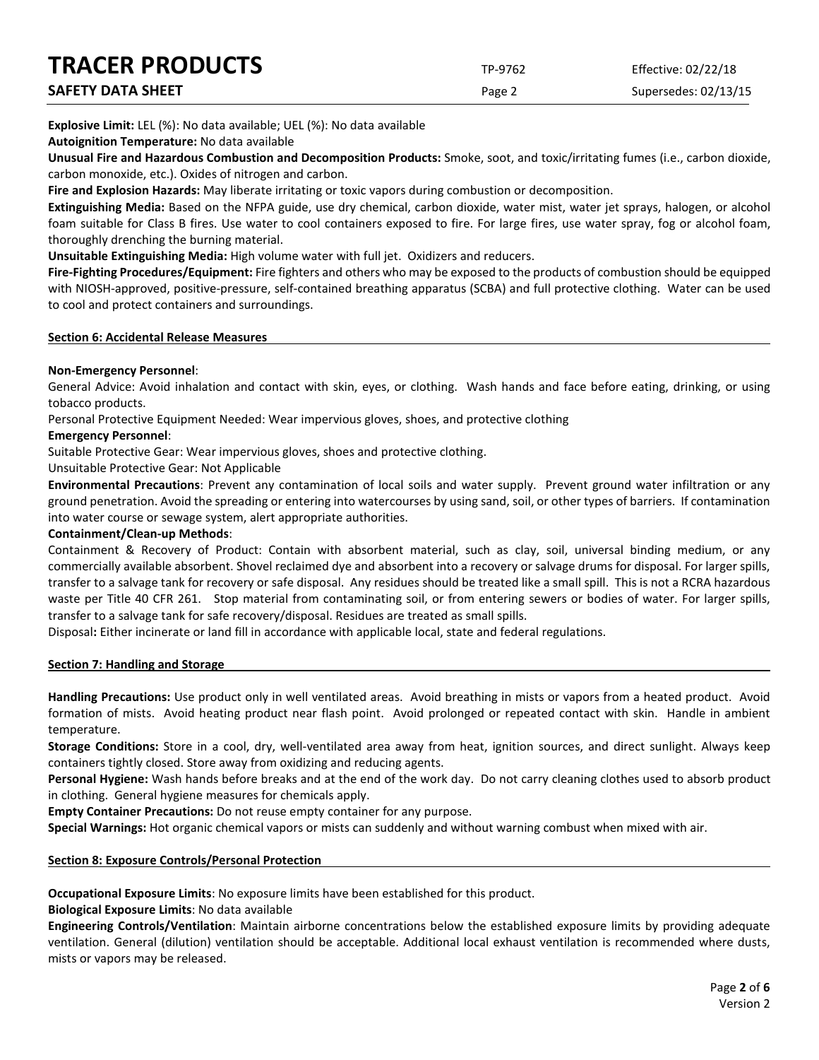| <b>TRACER PRODUCTS</b> | TP-9762 | Effective: 02/22/18  |
|------------------------|---------|----------------------|
| SAFETY DATA SHEET      | Page 2  | Supersedes: 02/13/15 |

**Explosive Limit:** LEL (%): No data available; UEL (%): No data available

**Autoignition Temperature:** No data available

**Unusual Fire and Hazardous Combustion and Decomposition Products:** Smoke, soot, and toxic/irritating fumes (i.e., carbon dioxide, carbon monoxide, etc.). Oxides of nitrogen and carbon.

**Fire and Explosion Hazards:** May liberate irritating or toxic vapors during combustion or decomposition.

**Extinguishing Media:** Based on the NFPA guide, use dry chemical, carbon dioxide, water mist, water jet sprays, halogen, or alcohol foam suitable for Class B fires. Use water to cool containers exposed to fire. For large fires, use water spray, fog or alcohol foam, thoroughly drenching the burning material.

**Unsuitable Extinguishing Media:** High volume water with full jet. Oxidizers and reducers.

**Fire-Fighting Procedures/Equipment:** Fire fighters and others who may be exposed to the products of combustion should be equipped with NIOSH-approved, positive-pressure, self-contained breathing apparatus (SCBA) and full protective clothing. Water can be used to cool and protect containers and surroundings.

#### **Section 6: Accidental Release Measures**

# **Non-Emergency Personnel**:

General Advice: Avoid inhalation and contact with skin, eyes, or clothing. Wash hands and face before eating, drinking, or using tobacco products.

Personal Protective Equipment Needed: Wear impervious gloves, shoes, and protective clothing

#### **Emergency Personnel**:

Suitable Protective Gear: Wear impervious gloves, shoes and protective clothing.

Unsuitable Protective Gear: Not Applicable

**Environmental Precautions**: Prevent any contamination of local soils and water supply. Prevent ground water infiltration or any ground penetration. Avoid the spreading or entering into watercourses by using sand, soil, or other types of barriers. If contamination into water course or sewage system, alert appropriate authorities.

### **Containment/Clean-up Methods**:

Containment & Recovery of Product: Contain with absorbent material, such as clay, soil, universal binding medium, or any commercially available absorbent. Shovel reclaimed dye and absorbent into a recovery or salvage drums for disposal. For larger spills, transfer to a salvage tank for recovery or safe disposal. Any residues should be treated like a small spill. This is not a RCRA hazardous waste per Title 40 CFR 261. Stop material from contaminating soil, or from entering sewers or bodies of water. For larger spills, transfer to a salvage tank for safe recovery/disposal. Residues are treated as small spills.

Disposal**:** Either incinerate or land fill in accordance with applicable local, state and federal regulations.

# **Section 7: Handling and Storage**

**Handling Precautions:** Use product only in well ventilated areas. Avoid breathing in mists or vapors from a heated product. Avoid formation of mists. Avoid heating product near flash point. Avoid prolonged or repeated contact with skin. Handle in ambient temperature.

**Storage Conditions:** Store in a cool, dry, well-ventilated area away from heat, ignition sources, and direct sunlight. Always keep containers tightly closed. Store away from oxidizing and reducing agents.

**Personal Hygiene:** Wash hands before breaks and at the end of the work day. Do not carry cleaning clothes used to absorb product in clothing. General hygiene measures for chemicals apply.

**Empty Container Precautions:** Do not reuse empty container for any purpose.

**Special Warnings:** Hot organic chemical vapors or mists can suddenly and without warning combust when mixed with air.

# **Section 8: Exposure Controls/Personal Protection**

**Occupational Exposure Limits**: No exposure limits have been established for this product.

**Biological Exposure Limits**: No data available

**Engineering Controls/Ventilation**: Maintain airborne concentrations below the established exposure limits by providing adequate ventilation. General (dilution) ventilation should be acceptable. Additional local exhaust ventilation is recommended where dusts, mists or vapors may be released.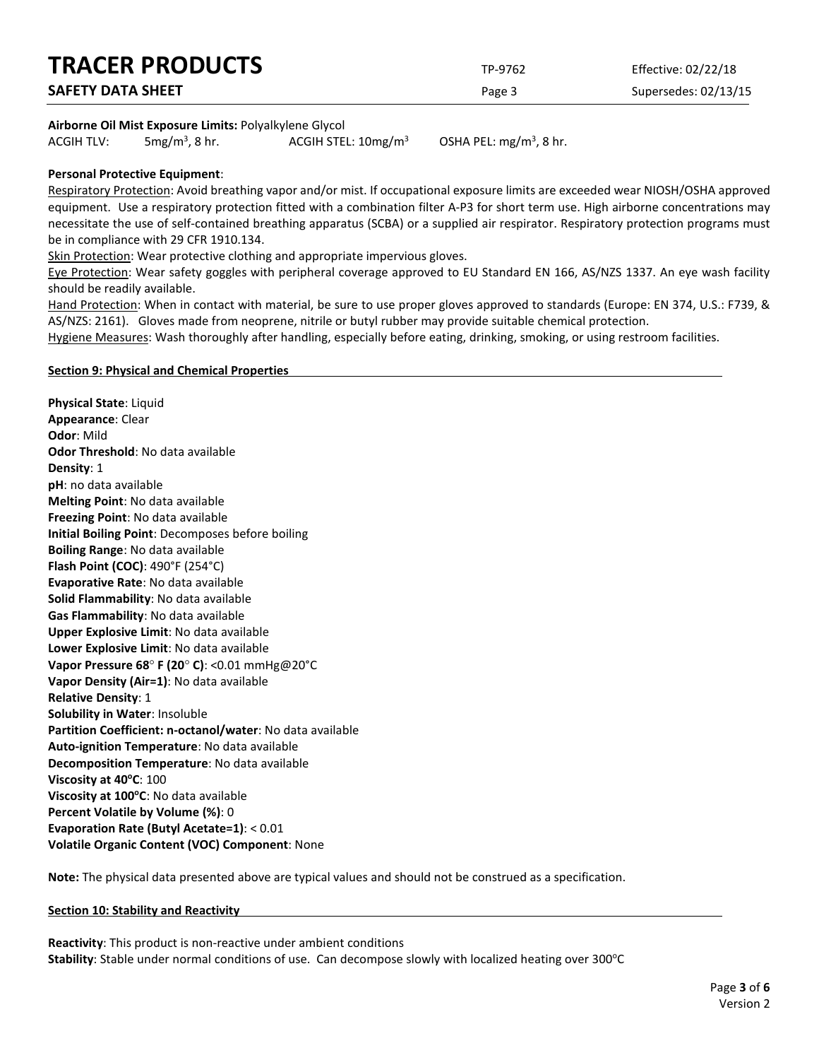| <b>TRACER PRODUCTS</b>   | TP-9762 | Effective: 02/22/18  |
|--------------------------|---------|----------------------|
| <b>SAFETY DATA SHEET</b> | Page 3  | Supersedes: 02/13/15 |
|                          |         |                      |

#### **Airborne Oil Mist Exposure Limits:** Polyalkylene Glycol

ACGIH TLV:  $5mg/m<sup>3</sup>$ , 8 hr. ACGIH STEL:  $10$ mg/m<sup>3</sup>

OSHA PEL:  $mg/m<sup>3</sup>$ , 8 hr.

### **Personal Protective Equipment**:

Respiratory Protection: Avoid breathing vapor and/or mist. If occupational exposure limits are exceeded wear NIOSH/OSHA approved equipment. Use a respiratory protection fitted with a combination filter A-P3 for short term use. High airborne concentrations may necessitate the use of self-contained breathing apparatus (SCBA) or a supplied air respirator. Respiratory protection programs must be in compliance with 29 CFR 1910.134.

Skin Protection: Wear protective clothing and appropriate impervious gloves.

Eye Protection: Wear safety goggles with peripheral coverage approved to EU Standard EN 166, AS/NZS 1337. An eye wash facility should be readily available.

Hand Protection: When in contact with material, be sure to use proper gloves approved to standards (Europe: EN 374, U.S.: F739, & AS/NZS: 2161). Gloves made from neoprene, nitrile or butyl rubber may provide suitable chemical protection.

Hygiene Measures: Wash thoroughly after handling, especially before eating, drinking, smoking, or using restroom facilities.

#### **Section 9: Physical and Chemical Properties**

**Physical State**: Liquid **Appearance**: Clear **Odor**: Mild **Odor Threshold**: No data available **Density**: 1 **pH**: no data available **Melting Point**: No data available **Freezing Point**: No data available **Initial Boiling Point**: Decomposes before boiling **Boiling Range**: No data available **Flash Point (COC)**: 490°F (254°C) **Evaporative Rate**: No data available **Solid Flammability**: No data available **Gas Flammability**: No data available **Upper Explosive Limit**: No data available **Lower Explosive Limit**: No data available **Vapor Pressure 68**° **F (20**° **C)**: <0.01 mmHg@20°C **Vapor Density (Air=1)**: No data available **Relative Density**: 1 **Solubility in Water**: Insoluble **Partition Coefficient: n-octanol/water**: No data available **Auto-ignition Temperature**: No data available **Decomposition Temperature**: No data available **Viscosity at 40<sup>o</sup>C**: 100 **Viscosity at 100°C**: No data available **Percent Volatile by Volume (%)**: 0 **Evaporation Rate (Butyl Acetate=1)**: < 0.01 **Volatile Organic Content (VOC) Component**: None

**Note:** The physical data presented above are typical values and should not be construed as a specification.

#### **Section 10: Stability and Reactivity**

**Reactivity**: This product is non-reactive under ambient conditions Stability: Stable under normal conditions of use. Can decompose slowly with localized heating over 300°C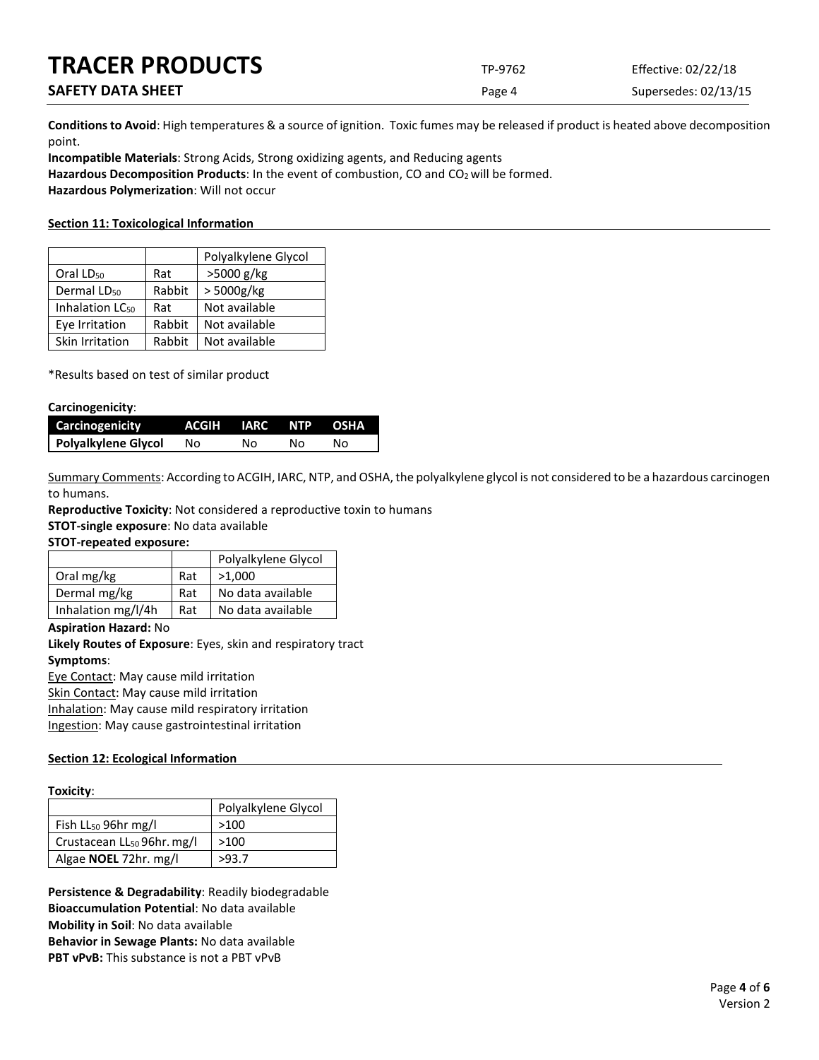| <b>TRACER PRODUCTS</b>   | TP-9762 | Effective: 02/22/18  |
|--------------------------|---------|----------------------|
| <b>SAFETY DATA SHEET</b> | Page 4  | Supersedes: 02/13/15 |

**Conditions to Avoid**: High temperatures & a source of ignition. Toxic fumes may be released if product is heated above decomposition point.

**Incompatible Materials**: Strong Acids, Strong oxidizing agents, and Reducing agents Hazardous Decomposition Products: In the event of combustion, CO and CO<sub>2</sub> will be formed. **Hazardous Polymerization**: Will not occur

#### **Section 11: Toxicological Information**

|                             |        | Polyalkylene Glycol |
|-----------------------------|--------|---------------------|
| Oral LD <sub>50</sub>       | Rat    | >5000 g/kg          |
| Dermal LD <sub>50</sub>     | Rabbit | > 5000g/kg          |
| Inhalation LC <sub>50</sub> | Rat    | Not available       |
| Eye Irritation              | Rabbit | Not available       |
| Skin Irritation             | Rabbit | Not available       |

\*Results based on test of similar product

#### **Carcinogenicity**:

| Carcinogenicity     | ACGIH IARC NTP OSHA |    |    |    |
|---------------------|---------------------|----|----|----|
| Polyalkylene Glycol | No.                 | NΩ | N٥ | Nο |

Summary Comments: According to ACGIH, IARC, NTP, and OSHA, the polyalkylene glycol is not considered to be a hazardous carcinogen to humans.

**Reproductive Toxicity**: Not considered a reproductive toxin to humans

**STOT-single exposure**: No data available

**STOT-repeated exposure:**

|                    |     | Polyalkylene Glycol |
|--------------------|-----|---------------------|
| Oral mg/kg         | Rat | >1.000              |
| Dermal mg/kg       | Rat | No data available   |
| Inhalation mg/l/4h | Rat | No data available   |

**Aspiration Hazard:** No

**Likely Routes of Exposure**: Eyes, skin and respiratory tract **Symptoms**: Eye Contact: May cause mild irritation Skin Contact: May cause mild irritation

Inhalation: May cause mild respiratory irritation

Ingestion: May cause gastrointestinal irritation

# **Section 12: Ecological Information**

|                                        | Polyalkylene Glycol |  |  |
|----------------------------------------|---------------------|--|--|
| Fish $LL_{50}$ 96hr mg/l               | >100                |  |  |
| Crustacean LL <sub>50</sub> 96hr. mg/l | >100                |  |  |
| Algae <b>NOEL</b> 72hr. mg/l           | >93.7               |  |  |

**Persistence & Degradability**: Readily biodegradable **Bioaccumulation Potential**: No data available **Mobility in Soil**: No data available **Behavior in Sewage Plants:** No data available **PBT vPvB:** This substance is not a PBT vPvB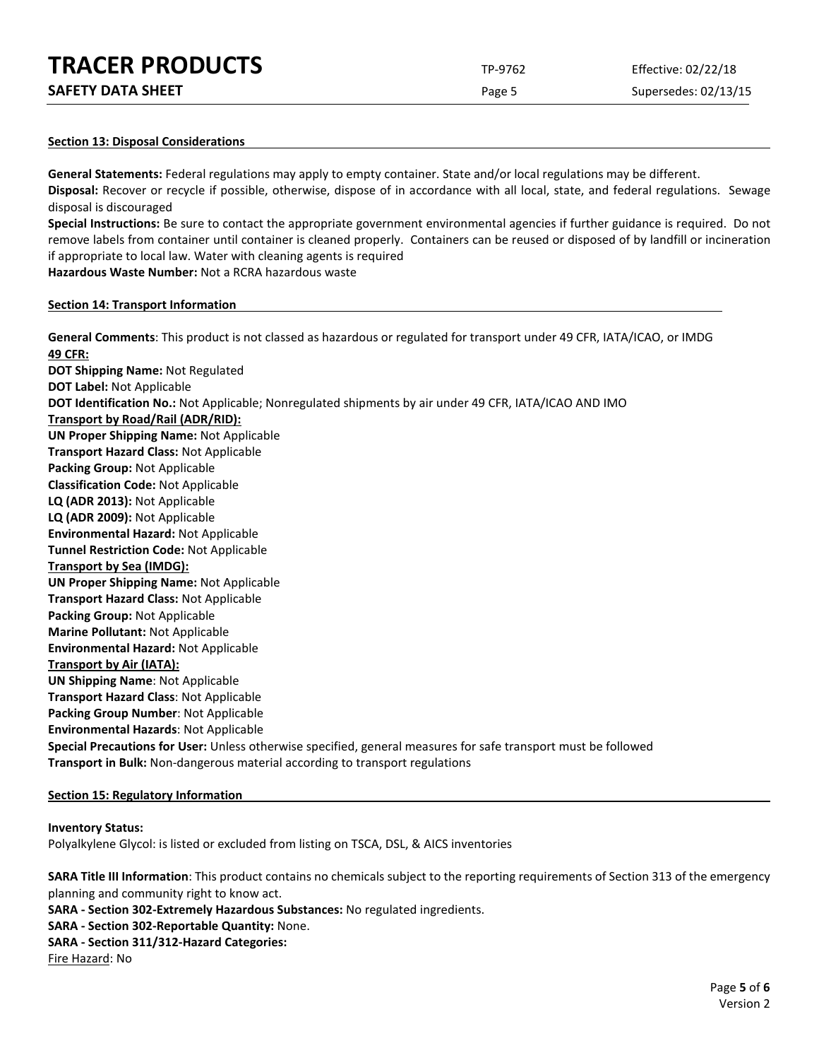| <b>TRACER PRODUCTS</b> | TP-9762 | Effective: 02/22/18 |
|------------------------|---------|---------------------|
|                        |         |                     |

Page 5 Supersedes: 02/13/15

#### **Section 13: Disposal Considerations**

**General Statements:** Federal regulations may apply to empty container. State and/or local regulations may be different. **Disposal:** Recover or recycle if possible, otherwise, dispose of in accordance with all local, state, and federal regulations. Sewage disposal is discouraged

**Special Instructions:** Be sure to contact the appropriate government environmental agencies if further guidance is required. Do not remove labels from container until container is cleaned properly. Containers can be reused or disposed of by landfill or incineration if appropriate to local law. Water with cleaning agents is required

**Hazardous Waste Number:** Not a RCRA hazardous waste

#### **Section 14: Transport Information**

**General Comments**: This product is not classed as hazardous or regulated for transport under 49 CFR, IATA/ICAO, or IMDG **49 CFR: DOT Shipping Name:** Not Regulated **DOT Label:** Not Applicable **DOT Identification No.:** Not Applicable; Nonregulated shipments by air under 49 CFR, IATA/ICAO AND IMO **Transport by Road/Rail (ADR/RID): UN Proper Shipping Name:** Not Applicable **Transport Hazard Class:** Not Applicable **Packing Group:** Not Applicable **Classification Code:** Not Applicable **LQ (ADR 2013):** Not Applicable **LQ (ADR 2009):** Not Applicable **Environmental Hazard:** Not Applicable **Tunnel Restriction Code:** Not Applicable **Transport by Sea (IMDG): UN Proper Shipping Name:** Not Applicable **Transport Hazard Class:** Not Applicable **Packing Group:** Not Applicable **Marine Pollutant:** Not Applicable **Environmental Hazard:** Not Applicable **Transport by Air (IATA): UN Shipping Name**: Not Applicable **Transport Hazard Class**: Not Applicable **Packing Group Number**: Not Applicable **Environmental Hazards**: Not Applicable **Special Precautions for User:** Unless otherwise specified, general measures for safe transport must be followed **Transport in Bulk:** Non-dangerous material according to transport regulations

# **Section 15: Regulatory Information**

#### **Inventory Status:**

Polyalkylene Glycol: is listed or excluded from listing on TSCA, DSL, & AICS inventories

**SARA Title III Information**: This product contains no chemicals subject to the reporting requirements of Section 313 of the emergency planning and community right to know act.

**SARA - Section 302-Extremely Hazardous Substances:** No regulated ingredients.

#### **SARA - Section 302-Reportable Quantity:** None.

#### **SARA - Section 311/312-Hazard Categories:**

Fire Hazard: No